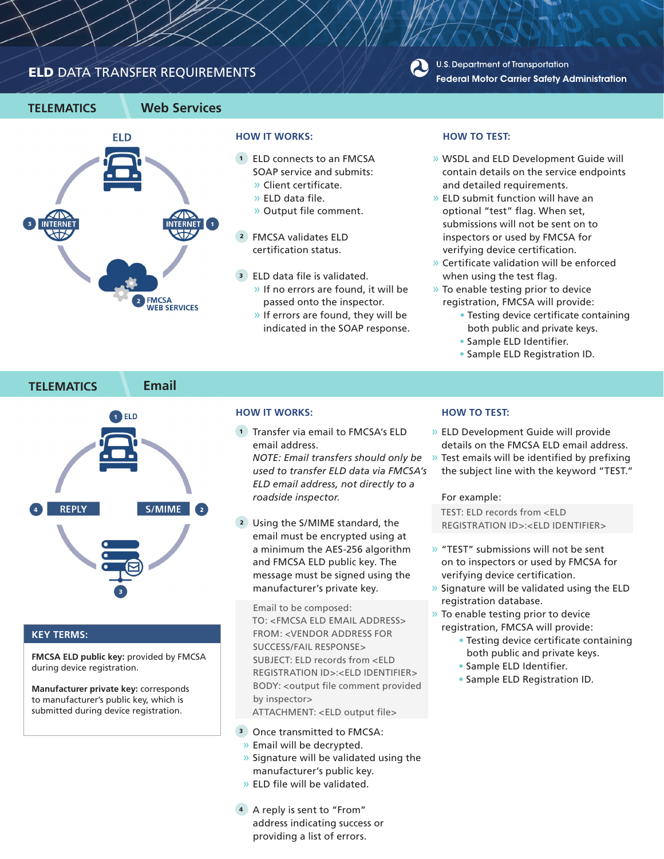# ELD DATA TRANSFER REQUIREMENTS







### **HOW IT WORKS:**

- 1 ELD connects to an FMCSA SOAP service and submits:
	- » Client certificate.
	- » ELD data file.
	- » Output file comment.
- 2 FMCSA validates ELD certification status.
- 3 ELD data file is validated.
	- » If no errors are found, it will be passed onto the inspector.
	- » If errors are found, they will be indicated in the SOAP response.

### **HOW TO TEST:**

- » WSDL and ELD Development Guide will contain details on the service endpoints and detailed requirements.
- » ELD submit function will have an optional "test" flag. When set, submissions will not be sent on to inspectors or used by FMCSA for verifying device certification.
- » Certificate validation will be enforced when using the test flag.
- » To enable testing prior to device registration, FMCSA will provide:
	- Testing device certificate containing both public and private keys.
	- Sample ELD Identifier.
	- Sample ELD Registration ID.



#### **KEY TERMS:**

**FMCSA ELD public key:** provided by FMCSA during device registration.

**Manufacturer private key:** corresponds to manufacturer's public key, which is submitted during device registration.

## **HOW IT WORKS:**

1 Transfer via email to FMCSA's ELD email address. *NOTE: Email transfers should only be used to transfer ELD data via FMCSA's* 

*ELD email address, not directly to a roadside inspector.*

 2 Using the S/MIME standard, the email must be encrypted using at a minimum the AES-256 algorithm and FMCSA ELD public key. The message must be signed using the manufacturer's private key.

Email to be composed: TO: <FMCSA ELD EMAIL ADDRESS> FROM: <VENDOR ADDRESS FOR SUCCESS/FAIL RESPONSE> SUBJECT: ELD records from <FLD REGISTRATION ID>:<ELD IDENTIFIER> BODY: <output file comment provided by inspector> ATTACHMENT: <ELD output file>

- 3 Once transmitted to FMCSA: » Email will be decrypted.
- » Signature will be validated using the manufacturer's public key.
- » ELD file will be validated.
- 4 A reply is sent to "From" address indicating success or providing a list of errors.

#### **HOW TO TEST:**

- » ELD Development Guide will provide details on the FMCSA ELD email address.
- » Test emails will be identified by prefixing the subject line with the keyword "TEST."

#### For example:

TEST: ELD records from <ELD REGISTRATION ID>:<ELD IDENTIFIER>

- » "TEST" submissions will not be sent on to inspectors or used by FMCSA for verifying device certification.
- » Signature will be validated using the ELD registration database.
- » To enable testing prior to device registration, FMCSA will provide:
	- Testing device certificate containing both public and private keys.
	- Sample ELD Identifier.
	- Sample ELD Registration ID.